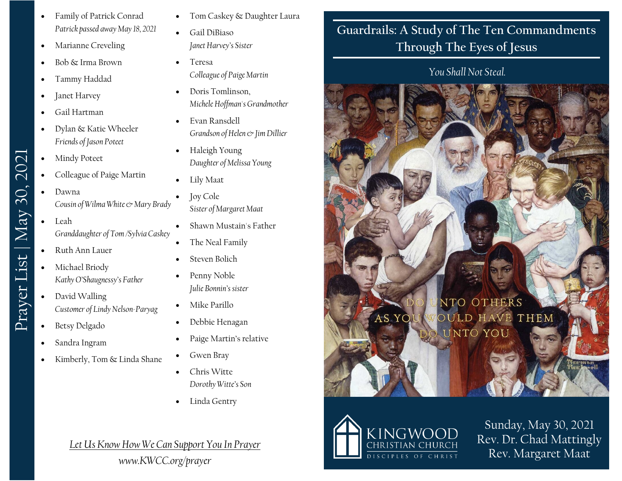- Family of Patrick Conrad *Patrick passed away May 18, 2021*
- Marianne Creveling
- Bob & Irma Brown
- Tammy Haddad
- Janet Harvey
- Gail Hartman
- Dylan & Katie Wheeler *Friends of Jason Poteet*
- Mindy Poteet
- Colleague of Paige Martin
- Dawna *Cousin of Wilma White* & Mary Brady
- Leah *Granddaughter of Tom /Sylvia Caskey*
- Ruth Ann Lauer

Prayer List | May 30, 2021

Prayer List | May 30, 2021

- Michael Briody *Kathy O'Shaugnessy's Father*
- David Walling *Customer of Lindy Nelson-Paryag*
- Betsy Delgado
- Sandra Ingram
- Kimberly, Tom & Linda Shane
- Tom Caskey & Daughter Laura
- Gail DiBiaso *Janet Harvey's Sister*
- Teresa *Colleague of Paige Martin*
- Doris Tomlinson, *Michele Hoffman's Grandmother*
- Evan Ransdell *Grandson of Helen & Jim Dillier*
- Haleigh Young *Daughter of Melissa Young*
- Lily Maat
- Joy Cole *Sister of Margaret Maat*
- Shawn Mustain's Father
- The Neal Family
- Steven Bolich
- Penny Noble *Julie Bonnin's sister*
- Mike Parillo
- Debbie Henagan
- Paige Martin's relative
- Gwen Bray
- Chris Witte
- 

- *Dorothy Witte's Son*
- Linda Gentry

## *Let Us Know How We Can Support You In Prayer*

*www.KWCC.org/prayer*

## **Guardrails: A Study of The Ten Commandments Through The Eyes of Jesus**

## *You Shall Not Steal.*





Sunday, May 30, 2021 Rev. Dr. Chad Mattingly Rev. Margaret Maat